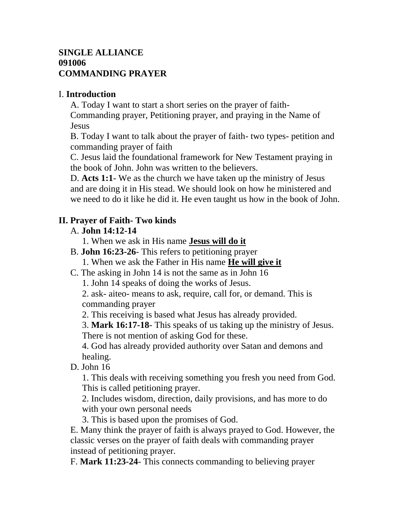## **SINGLE ALLIANCE 091006 COMMANDING PRAYER**

## I. **Introduction**

A. Today I want to start a short series on the prayer of faith-Commanding prayer, Petitioning prayer, and praying in the Name of **Jesus** 

B. Today I want to talk about the prayer of faith- two types- petition and commanding prayer of faith

C. Jesus laid the foundational framework for New Testament praying in the book of John. John was written to the believers.

D. **Acts 1:1**- We as the church we have taken up the ministry of Jesus and are doing it in His stead. We should look on how he ministered and we need to do it like he did it. He even taught us how in the book of John.

# **II. Prayer of Faith- Two kinds**

## A. **John 14:12-14**

1. When we ask in His name **Jesus will do it**

- B. **John 16:23-26** This refers to petitioning prayer
	- 1. When we ask the Father in His name **He will give it**
- C. The asking in John 14 is not the same as in John 16
	- 1. John 14 speaks of doing the works of Jesus.

2. ask- aiteo- means to ask, require, call for, or demand. This is commanding prayer

2. This receiving is based what Jesus has already provided.

3. **Mark 16:17-18**- This speaks of us taking up the ministry of Jesus. There is not mention of asking God for these.

4. God has already provided authority over Satan and demons and healing.

D. John 16

1. This deals with receiving something you fresh you need from God. This is called petitioning prayer.

2. Includes wisdom, direction, daily provisions, and has more to do with your own personal needs

3. This is based upon the promises of God.

E. Many think the prayer of faith is always prayed to God. However, the classic verses on the prayer of faith deals with commanding prayer instead of petitioning prayer.

F. **Mark 11:23-24**- This connects commanding to believing prayer